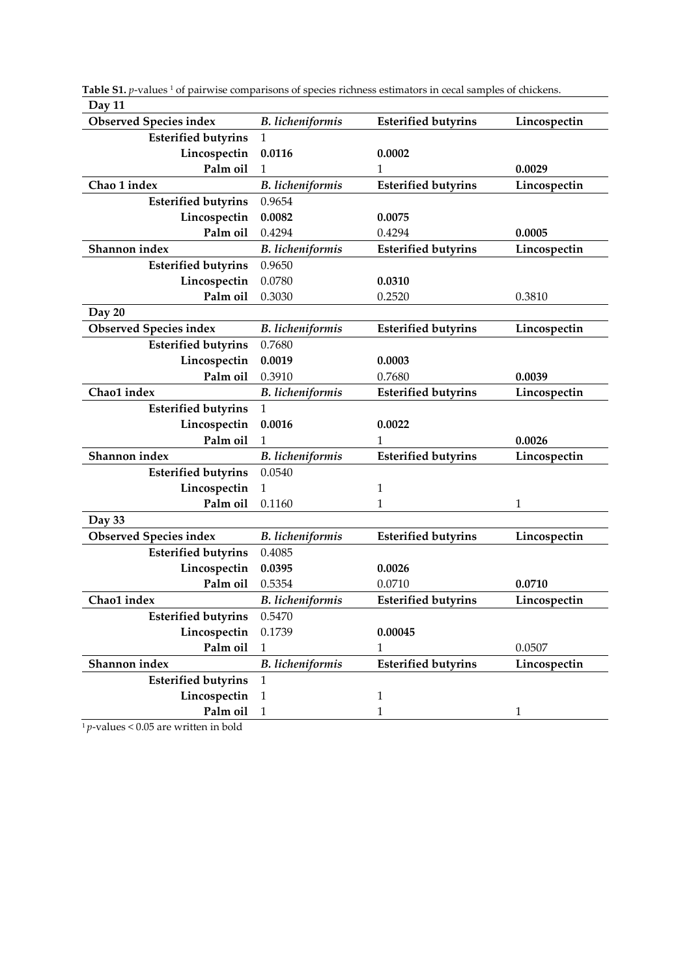| Day 11                        |                         |                            |              |
|-------------------------------|-------------------------|----------------------------|--------------|
| <b>Observed Species index</b> | <b>B.</b> licheniformis | <b>Esterified butyrins</b> | Lincospectin |
| <b>Esterified butyrins</b>    | $\mathbf{1}$            |                            |              |
| Lincospectin                  | 0.0116                  | 0.0002                     |              |
| Palm oil                      | 1                       | 1                          | 0.0029       |
| Chao 1 index                  | <b>B.</b> licheniformis | <b>Esterified butyrins</b> | Lincospectin |
| <b>Esterified butyrins</b>    | 0.9654                  |                            |              |
| Lincospectin                  | 0.0082                  | 0.0075                     |              |
| Palm oil                      | 0.4294                  | 0.4294                     | 0.0005       |
| Shannon index                 | <b>B.</b> licheniformis | <b>Esterified butyrins</b> | Lincospectin |
| <b>Esterified butyrins</b>    | 0.9650                  |                            |              |
| Lincospectin                  | 0.0780                  | 0.0310                     |              |
| Palm oil                      | 0.3030                  | 0.2520                     | 0.3810       |
| Day 20                        |                         |                            |              |
| <b>Observed Species index</b> | <b>B.</b> licheniformis | <b>Esterified butyrins</b> | Lincospectin |
| <b>Esterified butyrins</b>    | 0.7680                  |                            |              |
| Lincospectin                  | 0.0019                  | 0.0003                     |              |
| Palm oil                      | 0.3910                  | 0.7680                     | 0.0039       |
| Chao1 index                   | <b>B.</b> licheniformis | <b>Esterified butyrins</b> | Lincospectin |
| <b>Esterified butyrins</b>    | $\mathbf{1}$            |                            |              |
| Lincospectin                  | 0.0016                  | 0.0022                     |              |
| Palm oil                      | 1                       | 1                          | 0.0026       |
| Shannon index                 | <b>B.</b> licheniformis | <b>Esterified butyrins</b> | Lincospectin |
| <b>Esterified butyrins</b>    | 0.0540                  |                            |              |
| Lincospectin                  | 1                       | 1                          |              |
| Palm oil                      | 0.1160                  | 1                          | 1            |
| Day 33                        |                         |                            |              |
| <b>Observed Species index</b> | <b>B.</b> licheniformis | <b>Esterified butyrins</b> | Lincospectin |
| <b>Esterified butyrins</b>    | 0.4085                  |                            |              |
| Lincospectin                  | 0.0395                  | 0.0026                     |              |
| Palm oil                      | 0.5354                  | 0.0710                     | 0.0710       |
| Chao1 index                   | <b>B.</b> licheniformis | <b>Esterified butyrins</b> | Lincospectin |
| <b>Esterified butyrins</b>    | 0.5470                  |                            |              |
| Lincospectin                  | 0.1739                  | 0.00045                    |              |
| Palm oil                      | 1                       | 1                          | 0.0507       |
| Shannon index                 | <b>B.</b> licheniformis | <b>Esterified butyrins</b> | Lincospectin |
| <b>Esterified butyrins</b>    | $\mathbf{1}$            |                            |              |
| Lincospectin                  | $\mathbf{1}$            | $\mathbf{1}$               |              |
| Palm oil                      | $\mathbf{1}$            | $\mathbf{1}$               | 1            |

Table S1. *p*-values<sup>1</sup> of pairwise comparisons of species richness estimators in cecal samples of chickens. **Day 11**

 $\frac{1}{1}$ *p*-values < 0.05 are written in bold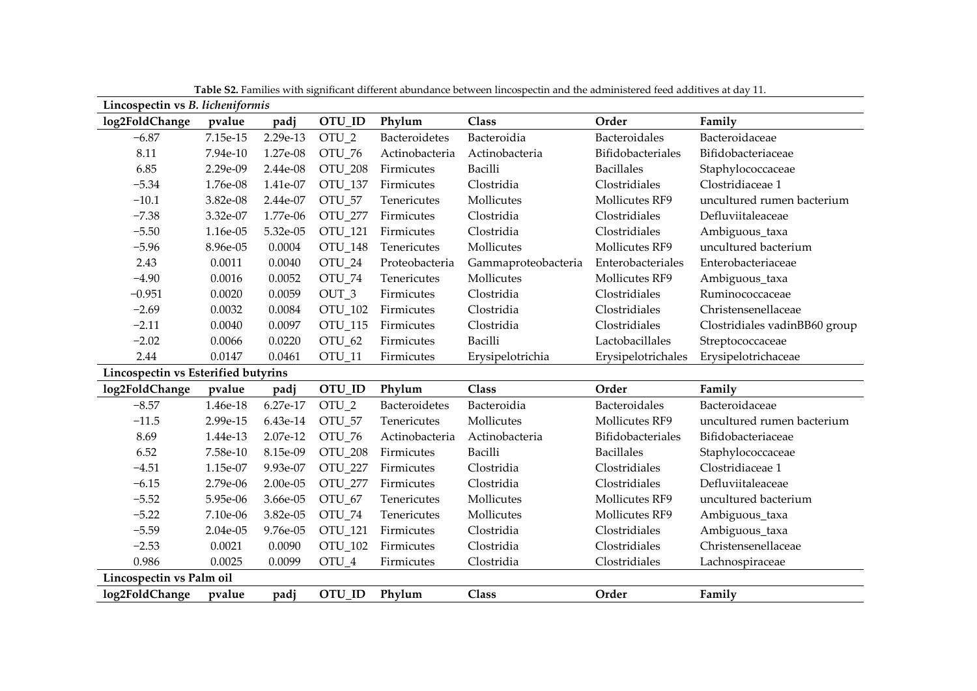| Lincospectin vs B. licheniformis    |            |          |                   |                |                     |                    |                               |
|-------------------------------------|------------|----------|-------------------|----------------|---------------------|--------------------|-------------------------------|
| log2FoldChange                      | pvalue     | padj     | OTU_ID            | Phylum         | <b>Class</b>        | Order              | Family                        |
| $-6.87$                             | 7.15e-15   | 2.29e-13 | OTU <sub>2</sub>  | Bacteroidetes  | Bacteroidia         | Bacteroidales      | Bacteroidaceae                |
| 8.11                                | 7.94e-10   | 1.27e-08 | OTU_76            | Actinobacteria | Actinobacteria      | Bifidobacteriales  | Bifidobacteriaceae            |
| 6.85                                | 2.29e-09   | 2.44e-08 | OTU_208           | Firmicutes     | Bacilli             | <b>Bacillales</b>  | Staphylococcaceae             |
| $-5.34$                             | 1.76e-08   | 1.41e-07 | OTU_137           | Firmicutes     | Clostridia          | Clostridiales      | Clostridiaceae 1              |
| $-10.1$                             | 3.82e-08   | 2.44e-07 | OTU_57            | Tenericutes    | Mollicutes          | Mollicutes RF9     | uncultured rumen bacterium    |
| $-7.38$                             | 3.32e-07   | 1.77e-06 | OTU_277           | Firmicutes     | Clostridia          | Clostridiales      | Defluviitaleaceae             |
| $-5.50$                             | 1.16e-05   | 5.32e-05 | OTU_121           | Firmicutes     | Clostridia          | Clostridiales      | Ambiguous_taxa                |
| $-5.96$                             | 8.96e-05   | 0.0004   | OTU_148           | Tenericutes    | Mollicutes          | Mollicutes RF9     | uncultured bacterium          |
| 2.43                                | 0.0011     | 0.0040   | OTU_24            | Proteobacteria | Gammaproteobacteria | Enterobacteriales  | Enterobacteriaceae            |
| $-4.90$                             | 0.0016     | 0.0052   | OTU_74            | Tenericutes    | Mollicutes          | Mollicutes RF9     | Ambiguous_taxa                |
| $-0.951$                            | 0.0020     | 0.0059   | OUT <sub>_3</sub> | Firmicutes     | Clostridia          | Clostridiales      | Ruminococcaceae               |
| $-2.69$                             | 0.0032     | 0.0084   | OTU_102           | Firmicutes     | Clostridia          | Clostridiales      | Christensenellaceae           |
| $-2.11$                             | 0.0040     | 0.0097   | OTU_115           | Firmicutes     | Clostridia          | Clostridiales      | Clostridiales vadinBB60 group |
| $-2.02$                             | 0.0066     | 0.0220   | OTU <sub>62</sub> | Firmicutes     | <b>Bacilli</b>      | Lactobacillales    | Streptococcaceae              |
| 2.44                                | 0.0147     | 0.0461   | OTU_11            | Firmicutes     | Erysipelotrichia    | Erysipelotrichales | Erysipelotrichaceae           |
| Lincospectin vs Esterified butyrins |            |          |                   |                |                     |                    |                               |
| log2FoldChange                      | pvalue     | padj     | OTU_ID            | Phylum         | <b>Class</b>        | Order              | Family                        |
| $-8.57$                             | 1.46e-18   | 6.27e-17 | OTU_2             | Bacteroidetes  | Bacteroidia         | Bacteroidales      | Bacteroidaceae                |
| $-11.5$                             | 2.99e-15   | 6.43e-14 | OTU_57            | Tenericutes    | Mollicutes          | Mollicutes RF9     | uncultured rumen bacterium    |
| 8.69                                | 1.44e-13   | 2.07e-12 | OTU_76            | Actinobacteria | Actinobacteria      | Bifidobacteriales  | Bifidobacteriaceae            |
| 6.52                                | 7.58e-10   | 8.15e-09 | OTU_208           | Firmicutes     | Bacilli             | <b>Bacillales</b>  | Staphylococcaceae             |
| $-4.51$                             | 1.15e-07   | 9.93e-07 | OTU_227           | Firmicutes     | Clostridia          | Clostridiales      | Clostridiaceae 1              |
| $-6.15$                             | 2.79e-06   | 2.00e-05 | OTU_277           | Firmicutes     | Clostridia          | Clostridiales      | Defluviitaleaceae             |
| $-5.52$                             | 5.95e-06   | 3.66e-05 | OTU_67            | Tenericutes    | Mollicutes          | Mollicutes RF9     | uncultured bacterium          |
| $-5.22$                             | 7.10e-06   | 3.82e-05 | OTU_74            | Tenericutes    | Mollicutes          | Mollicutes RF9     | Ambiguous_taxa                |
| $-5.59$                             | $2.04e-05$ | 9.76e-05 | OTU_121           | Firmicutes     | Clostridia          | Clostridiales      | Ambiguous_taxa                |
| $-2.53$                             | 0.0021     | 0.0090   | OTU_102           | Firmicutes     | Clostridia          | Clostridiales      | Christensenellaceae           |
| 0.986                               | 0.0025     | 0.0099   | OTU_4             | Firmicutes     | Clostridia          | Clostridiales      | Lachnospiraceae               |
| Lincospectin vs Palm oil            |            |          |                   |                |                     |                    |                               |
| log2FoldChange                      | pvalue     | padj     | OTU_ID            | Phylum         | <b>Class</b>        | Order              | Family                        |

**Table S2.** Families with significant different abundance between lincospectin and the administered feed additives at day 11.